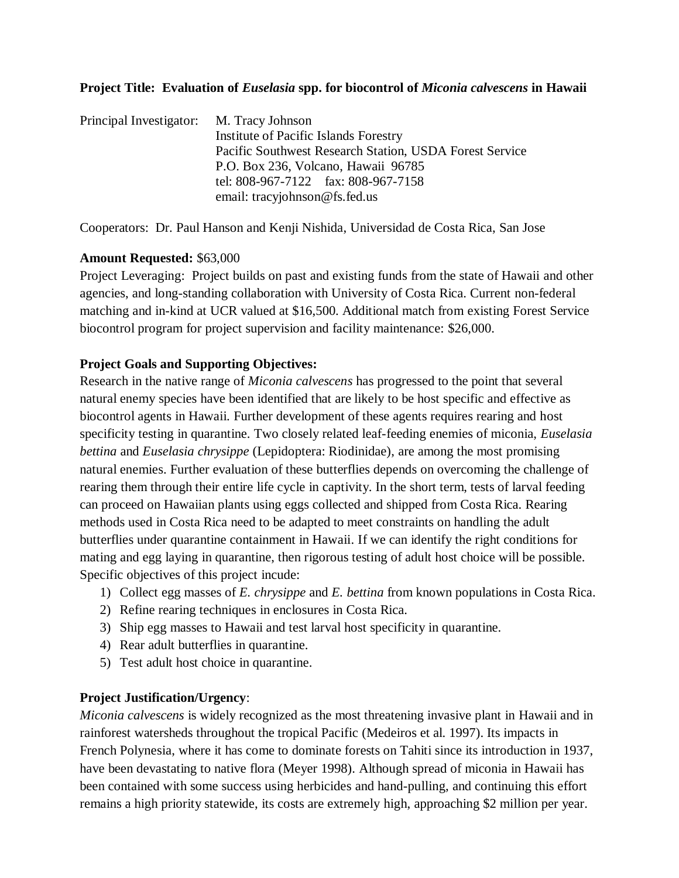### **Project Title: Evaluation of** *Euselasia* **spp. for biocontrol of** *Miconia calvescens* **in Hawaii**

| Principal Investigator: M. Tracy Johnson |                                                         |  |  |  |  |  |  |  |  |
|------------------------------------------|---------------------------------------------------------|--|--|--|--|--|--|--|--|
|                                          | Institute of Pacific Islands Forestry                   |  |  |  |  |  |  |  |  |
|                                          | Pacific Southwest Research Station, USDA Forest Service |  |  |  |  |  |  |  |  |
|                                          | P.O. Box 236, Volcano, Hawaii 96785                     |  |  |  |  |  |  |  |  |
|                                          | tel: 808-967-7122 fax: 808-967-7158                     |  |  |  |  |  |  |  |  |
|                                          | email: tracyjohnson@fs.fed.us                           |  |  |  |  |  |  |  |  |

Cooperators: Dr. Paul Hanson and Kenji Nishida, Universidad de Costa Rica, San Jose

### **Amount Requested:** \$63,000

Project Leveraging: Project builds on past and existing funds from the state of Hawaii and other agencies, and long-standing collaboration with University of Costa Rica. Current non-federal matching and in-kind at UCR valued at \$16,500. Additional match from existing Forest Service biocontrol program for project supervision and facility maintenance: \$26,000.

### **Project Goals and Supporting Objectives:**

Research in the native range of *Miconia calvescens* has progressed to the point that several natural enemy species have been identified that are likely to be host specific and effective as biocontrol agents in Hawaii. Further development of these agents requires rearing and host specificity testing in quarantine. Two closely related leaf-feeding enemies of miconia, *Euselasia bettina* and *Euselasia chrysippe* (Lepidoptera: Riodinidae), are among the most promising natural enemies. Further evaluation of these butterflies depends on overcoming the challenge of rearing them through their entire life cycle in captivity. In the short term, tests of larval feeding can proceed on Hawaiian plants using eggs collected and shipped from Costa Rica. Rearing methods used in Costa Rica need to be adapted to meet constraints on handling the adult butterflies under quarantine containment in Hawaii. If we can identify the right conditions for mating and egg laying in quarantine, then rigorous testing of adult host choice will be possible. Specific objectives of this project incude:

- 1) Collect egg masses of *E. chrysippe* and *E. bettina* from known populations in Costa Rica.
- 2) Refine rearing techniques in enclosures in Costa Rica.
- 3) Ship egg masses to Hawaii and test larval host specificity in quarantine.
- 4) Rear adult butterflies in quarantine.
- 5) Test adult host choice in quarantine.

### **Project Justification/Urgency**:

*Miconia calvescens* is widely recognized as the most threatening invasive plant in Hawaii and in rainforest watersheds throughout the tropical Pacific (Medeiros et al. 1997). Its impacts in French Polynesia, where it has come to dominate forests on Tahiti since its introduction in 1937, have been devastating to native flora (Meyer 1998). Although spread of miconia in Hawaii has been contained with some success using herbicides and hand-pulling, and continuing this effort remains a high priority statewide, its costs are extremely high, approaching \$2 million per year.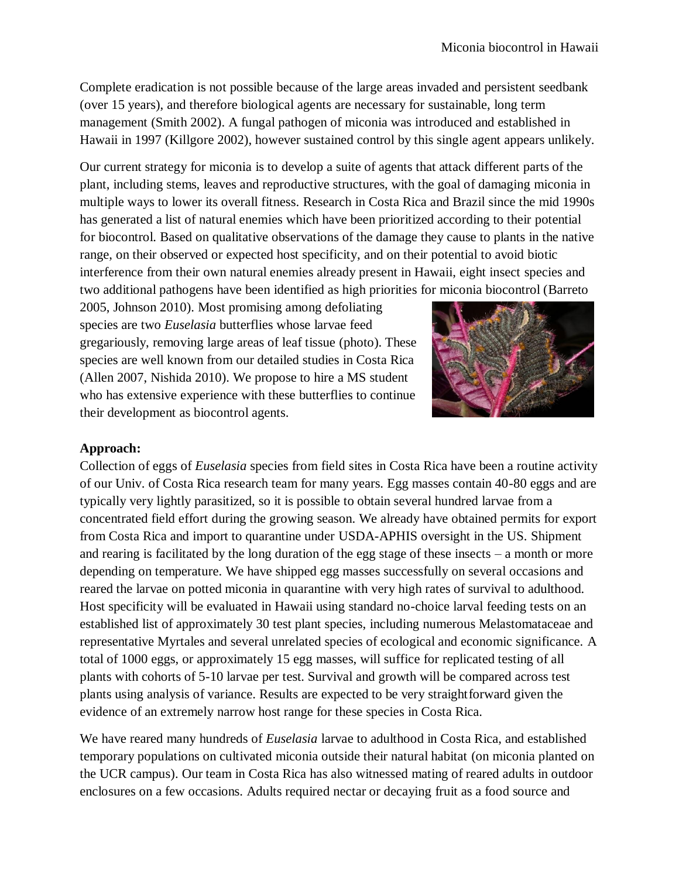Complete eradication is not possible because of the large areas invaded and persistent seedbank (over 15 years), and therefore biological agents are necessary for sustainable, long term management (Smith 2002). A fungal pathogen of miconia was introduced and established in Hawaii in 1997 (Killgore 2002), however sustained control by this single agent appears unlikely.

Our current strategy for miconia is to develop a suite of agents that attack different parts of the plant, including stems, leaves and reproductive structures, with the goal of damaging miconia in multiple ways to lower its overall fitness. Research in Costa Rica and Brazil since the mid 1990s has generated a list of natural enemies which have been prioritized according to their potential for biocontrol. Based on qualitative observations of the damage they cause to plants in the native range, on their observed or expected host specificity, and on their potential to avoid biotic interference from their own natural enemies already present in Hawaii, eight insect species and two additional pathogens have been identified as high priorities for miconia biocontrol (Barreto

2005, Johnson 2010). Most promising among defoliating species are two *Euselasia* butterflies whose larvae feed gregariously, removing large areas of leaf tissue (photo). These species are well known from our detailed studies in Costa Rica (Allen 2007, Nishida 2010). We propose to hire a MS student who has extensive experience with these butterflies to continue their development as biocontrol agents.



# **Approach:**

Collection of eggs of *Euselasia* species from field sites in Costa Rica have been a routine activity of our Univ. of Costa Rica research team for many years. Egg masses contain 40-80 eggs and are typically very lightly parasitized, so it is possible to obtain several hundred larvae from a concentrated field effort during the growing season. We already have obtained permits for export from Costa Rica and import to quarantine under USDA-APHIS oversight in the US. Shipment and rearing is facilitated by the long duration of the egg stage of these insects – a month or more depending on temperature. We have shipped egg masses successfully on several occasions and reared the larvae on potted miconia in quarantine with very high rates of survival to adulthood. Host specificity will be evaluated in Hawaii using standard no-choice larval feeding tests on an established list of approximately 30 test plant species, including numerous Melastomataceae and representative Myrtales and several unrelated species of ecological and economic significance. A total of 1000 eggs, or approximately 15 egg masses, will suffice for replicated testing of all plants with cohorts of 5-10 larvae per test. Survival and growth will be compared across test plants using analysis of variance. Results are expected to be very straightforward given the evidence of an extremely narrow host range for these species in Costa Rica.

We have reared many hundreds of *Euselasia* larvae to adulthood in Costa Rica, and established temporary populations on cultivated miconia outside their natural habitat (on miconia planted on the UCR campus). Our team in Costa Rica has also witnessed mating of reared adults in outdoor enclosures on a few occasions. Adults required nectar or decaying fruit as a food source and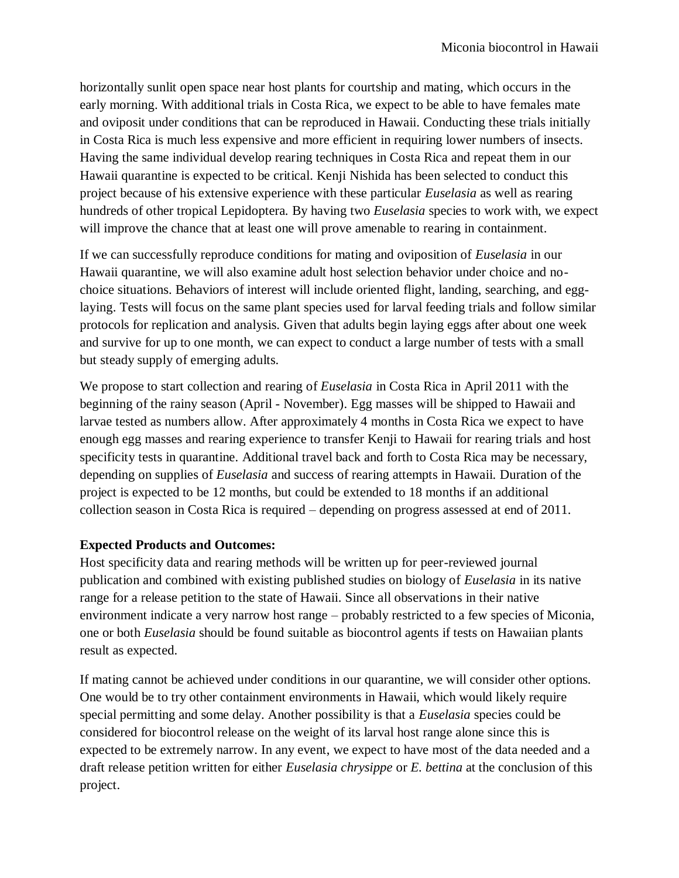horizontally sunlit open space near host plants for courtship and mating, which occurs in the early morning. With additional trials in Costa Rica, we expect to be able to have females mate and oviposit under conditions that can be reproduced in Hawaii. Conducting these trials initially in Costa Rica is much less expensive and more efficient in requiring lower numbers of insects. Having the same individual develop rearing techniques in Costa Rica and repeat them in our Hawaii quarantine is expected to be critical. Kenji Nishida has been selected to conduct this project because of his extensive experience with these particular *Euselasia* as well as rearing hundreds of other tropical Lepidoptera. By having two *Euselasia* species to work with, we expect will improve the chance that at least one will prove amenable to rearing in containment.

If we can successfully reproduce conditions for mating and oviposition of *Euselasia* in our Hawaii quarantine, we will also examine adult host selection behavior under choice and nochoice situations. Behaviors of interest will include oriented flight, landing, searching, and egglaying. Tests will focus on the same plant species used for larval feeding trials and follow similar protocols for replication and analysis. Given that adults begin laying eggs after about one week and survive for up to one month, we can expect to conduct a large number of tests with a small but steady supply of emerging adults.

We propose to start collection and rearing of *Euselasia* in Costa Rica in April 2011 with the beginning of the rainy season (April - November). Egg masses will be shipped to Hawaii and larvae tested as numbers allow. After approximately 4 months in Costa Rica we expect to have enough egg masses and rearing experience to transfer Kenji to Hawaii for rearing trials and host specificity tests in quarantine. Additional travel back and forth to Costa Rica may be necessary, depending on supplies of *Euselasia* and success of rearing attempts in Hawaii. Duration of the project is expected to be 12 months, but could be extended to 18 months if an additional collection season in Costa Rica is required – depending on progress assessed at end of 2011.

# **Expected Products and Outcomes:**

Host specificity data and rearing methods will be written up for peer-reviewed journal publication and combined with existing published studies on biology of *Euselasia* in its native range for a release petition to the state of Hawaii. Since all observations in their native environment indicate a very narrow host range – probably restricted to a few species of Miconia, one or both *Euselasia* should be found suitable as biocontrol agents if tests on Hawaiian plants result as expected.

If mating cannot be achieved under conditions in our quarantine, we will consider other options. One would be to try other containment environments in Hawaii, which would likely require special permitting and some delay. Another possibility is that a *Euselasia* species could be considered for biocontrol release on the weight of its larval host range alone since this is expected to be extremely narrow. In any event, we expect to have most of the data needed and a draft release petition written for either *Euselasia chrysippe* or *E. bettina* at the conclusion of this project.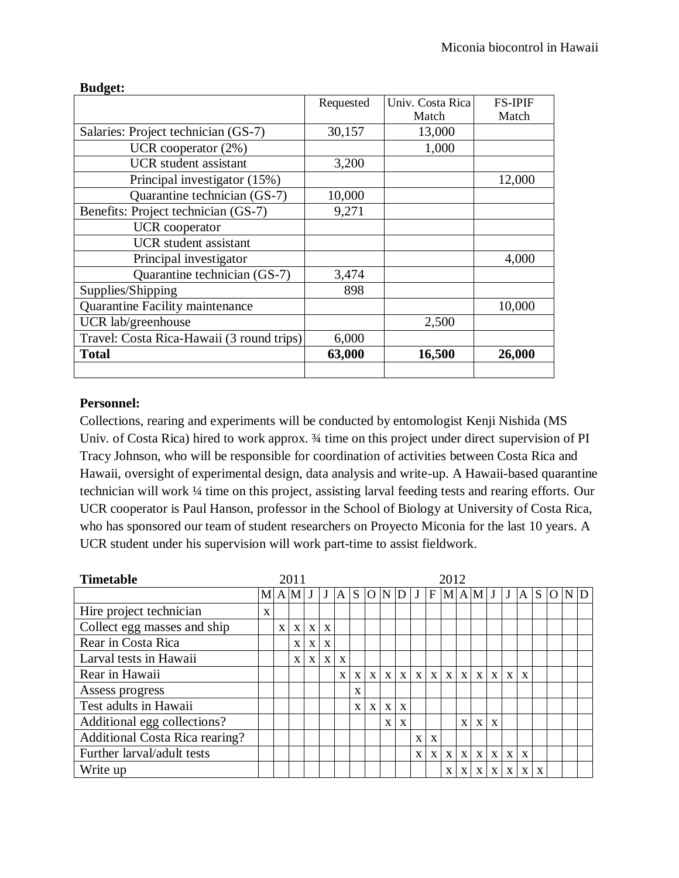| 5.44                                      | Requested | Univ. Costa Rica | <b>FS-IPIF</b> |
|-------------------------------------------|-----------|------------------|----------------|
|                                           |           | Match            | Match          |
| Salaries: Project technician (GS-7)       | 30,157    | 13,000           |                |
| UCR cooperator $(2%)$                     |           | 1,000            |                |
| <b>UCR</b> student assistant              | 3,200     |                  |                |
| Principal investigator (15%)              |           |                  | 12,000         |
| Quarantine technician (GS-7)              | 10,000    |                  |                |
| Benefits: Project technician (GS-7)       | 9,271     |                  |                |
| <b>UCR</b> cooperator                     |           |                  |                |
| <b>UCR</b> student assistant              |           |                  |                |
| Principal investigator                    |           |                  | 4,000          |
| Quarantine technician (GS-7)              | 3,474     |                  |                |
| Supplies/Shipping                         | 898       |                  |                |
| Quarantine Facility maintenance           |           |                  | 10,000         |
| UCR lab/greenhouse                        |           | 2,500            |                |
| Travel: Costa Rica-Hawaii (3 round trips) | 6,000     |                  |                |
| <b>Total</b>                              | 63,000    | 16,500           | 26,000         |
|                                           |           |                  |                |

### **Budget:**

### **Personnel:**

Collections, rearing and experiments will be conducted by entomologist Kenji Nishida (MS Univ. of Costa Rica) hired to work approx. ¾ time on this project under direct supervision of PI Tracy Johnson, who will be responsible for coordination of activities between Costa Rica and Hawaii, oversight of experimental design, data analysis and write-up. A Hawaii-based quarantine technician will work ¼ time on this project, assisting larval feeding tests and rearing efforts. Our UCR cooperator is Paul Hanson, professor in the School of Biology at University of Costa Rica, who has sponsored our team of student researchers on Proyecto Miconia for the last 10 years. A UCR student under his supervision will work part-time to assist fieldwork.

| <b>Timetable</b>                      | 2011 |              |              |              |              |              | 2012         |              |              |              |              |              |              |              |              |              |              |              |              |  |                               |  |
|---------------------------------------|------|--------------|--------------|--------------|--------------|--------------|--------------|--------------|--------------|--------------|--------------|--------------|--------------|--------------|--------------|--------------|--------------|--------------|--------------|--|-------------------------------|--|
|                                       |      |              | M A M J      |              |              | $J \, A$     | S            |              |              |              |              |              |              |              |              |              |              |              |              |  | O N D J F M A M J J A S O N D |  |
| Hire project technician               | X    |              |              |              |              |              |              |              |              |              |              |              |              |              |              |              |              |              |              |  |                               |  |
| Collect egg masses and ship           |      | $\mathbf{X}$ | $\mathbf{X}$ | $\mathbf{X}$ | X            |              |              |              |              |              |              |              |              |              |              |              |              |              |              |  |                               |  |
| Rear in Costa Rica                    |      |              | X            | X            | X            |              |              |              |              |              |              |              |              |              |              |              |              |              |              |  |                               |  |
| Larval tests in Hawaii                |      |              | $\mathbf{x}$ | $\mathbf{X}$ | $\mathbf{X}$ | X            |              |              |              |              |              |              |              |              |              |              |              |              |              |  |                               |  |
| Rear in Hawaii                        |      |              |              |              |              | $\mathbf{x}$ | $\mathbf{X}$ | $\mathbf{X}$ | $\mathbf{x}$ | $\mathbf{X}$ | $\mathbf{X}$ | $\mathbf{X}$ | $\mathbf{X}$ | $\mathbf{X}$ | $\mathbf{X}$ | $\mathbf{X}$ | $\mathbf{x}$ | $\mathbf{x}$ |              |  |                               |  |
| Assess progress                       |      |              |              |              |              |              | $\mathbf x$  |              |              |              |              |              |              |              |              |              |              |              |              |  |                               |  |
| Test adults in Hawaii                 |      |              |              |              |              |              | X            | $\mathbf{X}$ | $\mathbf{X}$ | X            |              |              |              |              |              |              |              |              |              |  |                               |  |
| Additional egg collections?           |      |              |              |              |              |              |              |              | $\mathbf x$  | $\mathbf x$  |              |              |              | $\mathbf{x}$ | $\mathbf{x}$ | $\mathbf{x}$ |              |              |              |  |                               |  |
| <b>Additional Costa Rica rearing?</b> |      |              |              |              |              |              |              |              |              |              | $\mathbf x$  | X            |              |              |              |              |              |              |              |  |                               |  |
| Further larval/adult tests            |      |              |              |              |              |              |              |              |              |              | $\mathbf x$  | X            | $\mathbf{X}$ | $\mathbf{X}$ | $\mathbf{X}$ | X            | $\mathbf{X}$ | $\mathbf{X}$ |              |  |                               |  |
| Write up                              |      |              |              |              |              |              |              |              |              |              |              |              | X            | X            | X            | X            | X            | $\mathbf{X}$ | $\mathbf{x}$ |  |                               |  |